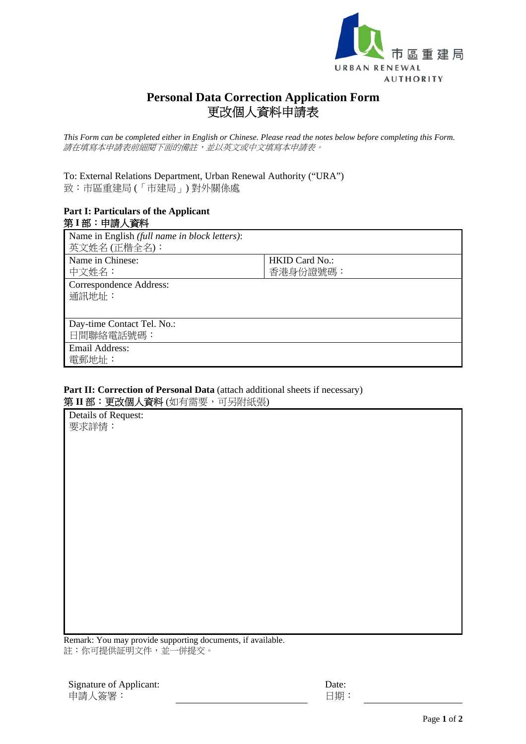

## **Personal Data Correction Application Form**  更改個人資料申請表

*This Form can be completed either in English or Chinese. Please read the notes below before completing this Form.*  請在填寫本申請表前細閱下面的備註,並以英文或中文填寫本申請表。

## To: External Relations Department, Urban Renewal Authority ("URA") 致:市區重建局 (「市建局」) 對外關係處

## **Part I: Particulars of the Applicant**  第 **I** 部:申請人資料

| Name in English (full name in block letters):<br>英文姓名 (正楷全名): |                                   |
|---------------------------------------------------------------|-----------------------------------|
| Name in Chinese:<br>中文姓名:                                     | <b>HKID Card No.:</b><br>香港身份證號碼: |
| Correspondence Address:<br>通訊地址:                              |                                   |
| Day-time Contact Tel. No.:<br>日間聯絡電話號碼:                       |                                   |
| <b>Email Address:</b><br>電郵地址:                                |                                   |

## Part II: Correction of Personal Data (attach additional sheets if necessary) 第 II 部:更改個人資料(如有需要,可另附紙張)

| Details of Request: |  |
|---------------------|--|
| 要求詳情:               |  |
|                     |  |

Remark: You may provide supporting documents, if available. 註:你可提供証明文件,並一併提交。

 Date: 日期: